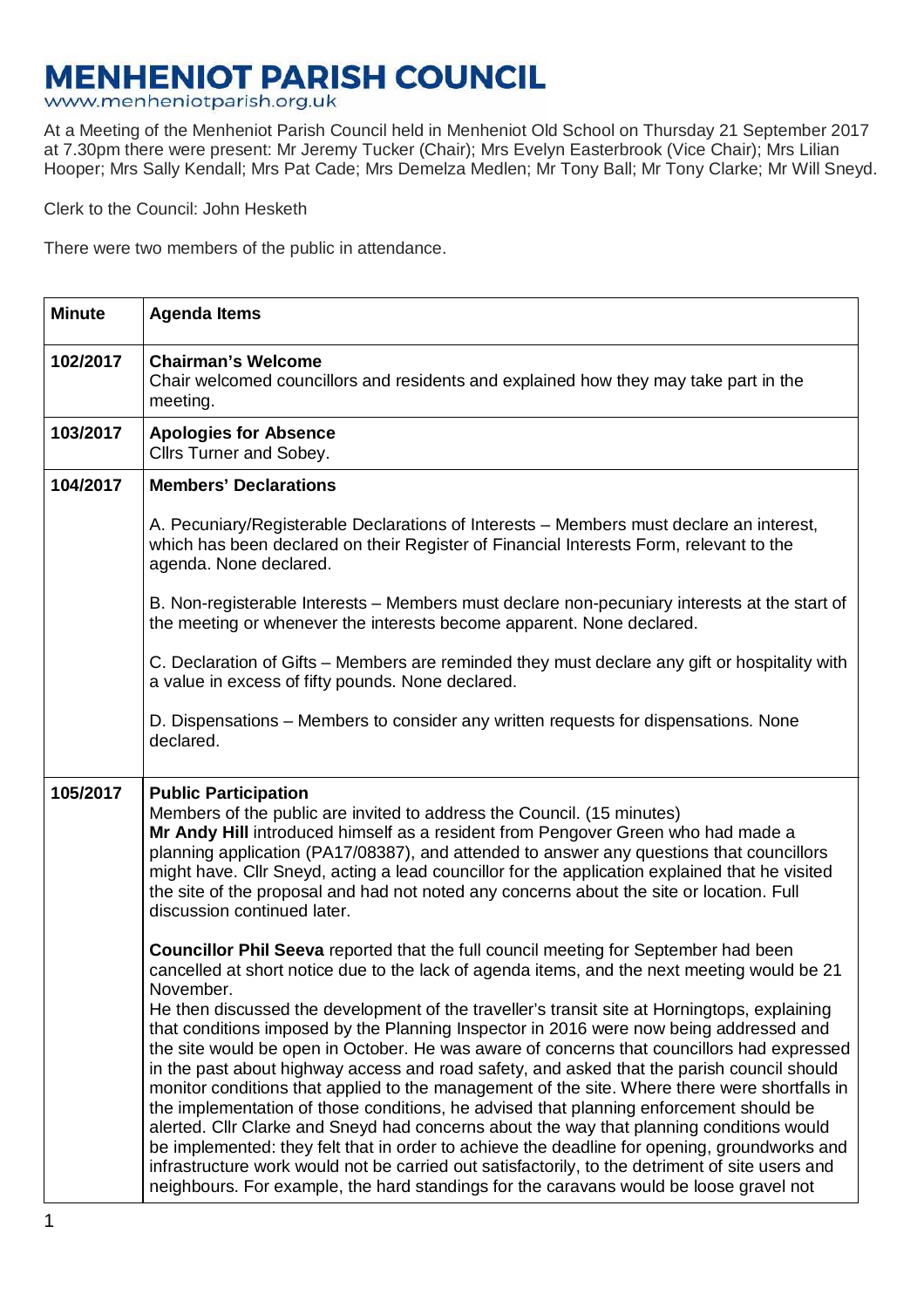## **MENHENIOT PARISH COUNCIL**

www.menheniotparish.org.uk

At a Meeting of the Menheniot Parish Council held in Menheniot Old School on Thursday 21 September 2017 at 7.30pm there were present: Mr Jeremy Tucker (Chair); Mrs Evelyn Easterbrook (Vice Chair); Mrs Lilian Hooper; Mrs Sally Kendall; Mrs Pat Cade; Mrs Demelza Medlen; Mr Tony Ball; Mr Tony Clarke; Mr Will Sneyd.

Clerk to the Council: John Hesketh

There were two members of the public in attendance.

| <b>Minute</b> | <b>Agenda Items</b>                                                                                                                                                                                                                                                                                                                                                                                                                                                                                                                                                                                                                                                                                                                                                                                                                                                                                                                                                                                                                                                                                                                                                       |
|---------------|---------------------------------------------------------------------------------------------------------------------------------------------------------------------------------------------------------------------------------------------------------------------------------------------------------------------------------------------------------------------------------------------------------------------------------------------------------------------------------------------------------------------------------------------------------------------------------------------------------------------------------------------------------------------------------------------------------------------------------------------------------------------------------------------------------------------------------------------------------------------------------------------------------------------------------------------------------------------------------------------------------------------------------------------------------------------------------------------------------------------------------------------------------------------------|
| 102/2017      | <b>Chairman's Welcome</b><br>Chair welcomed councillors and residents and explained how they may take part in the<br>meeting.                                                                                                                                                                                                                                                                                                                                                                                                                                                                                                                                                                                                                                                                                                                                                                                                                                                                                                                                                                                                                                             |
| 103/2017      | <b>Apologies for Absence</b><br>Cllrs Turner and Sobey.                                                                                                                                                                                                                                                                                                                                                                                                                                                                                                                                                                                                                                                                                                                                                                                                                                                                                                                                                                                                                                                                                                                   |
| 104/2017      | <b>Members' Declarations</b>                                                                                                                                                                                                                                                                                                                                                                                                                                                                                                                                                                                                                                                                                                                                                                                                                                                                                                                                                                                                                                                                                                                                              |
|               | A. Pecuniary/Registerable Declarations of Interests – Members must declare an interest,<br>which has been declared on their Register of Financial Interests Form, relevant to the<br>agenda. None declared.                                                                                                                                                                                                                                                                                                                                                                                                                                                                                                                                                                                                                                                                                                                                                                                                                                                                                                                                                               |
|               | B. Non-registerable Interests – Members must declare non-pecuniary interests at the start of<br>the meeting or whenever the interests become apparent. None declared.                                                                                                                                                                                                                                                                                                                                                                                                                                                                                                                                                                                                                                                                                                                                                                                                                                                                                                                                                                                                     |
|               | C. Declaration of Gifts – Members are reminded they must declare any gift or hospitality with<br>a value in excess of fifty pounds. None declared.                                                                                                                                                                                                                                                                                                                                                                                                                                                                                                                                                                                                                                                                                                                                                                                                                                                                                                                                                                                                                        |
|               | D. Dispensations – Members to consider any written requests for dispensations. None<br>declared.                                                                                                                                                                                                                                                                                                                                                                                                                                                                                                                                                                                                                                                                                                                                                                                                                                                                                                                                                                                                                                                                          |
| 105/2017      | <b>Public Participation</b><br>Members of the public are invited to address the Council. (15 minutes)<br>Mr Andy Hill introduced himself as a resident from Pengover Green who had made a<br>planning application (PA17/08387), and attended to answer any questions that councillors<br>might have. Cllr Sneyd, acting a lead councillor for the application explained that he visited<br>the site of the proposal and had not noted any concerns about the site or location. Full<br>discussion continued later.                                                                                                                                                                                                                                                                                                                                                                                                                                                                                                                                                                                                                                                        |
|               | Councillor Phil Seeva reported that the full council meeting for September had been<br>cancelled at short notice due to the lack of agenda items, and the next meeting would be 21<br>November.<br>He then discussed the development of the traveller's transit site at Horningtops, explaining<br>that conditions imposed by the Planning Inspector in 2016 were now being addressed and<br>the site would be open in October. He was aware of concerns that councillors had expressed<br>in the past about highway access and road safety, and asked that the parish council should<br>monitor conditions that applied to the management of the site. Where there were shortfalls in<br>the implementation of those conditions, he advised that planning enforcement should be<br>alerted. Cllr Clarke and Sneyd had concerns about the way that planning conditions would<br>be implemented: they felt that in order to achieve the deadline for opening, groundworks and<br>infrastructure work would not be carried out satisfactorily, to the detriment of site users and<br>neighbours. For example, the hard standings for the caravans would be loose gravel not |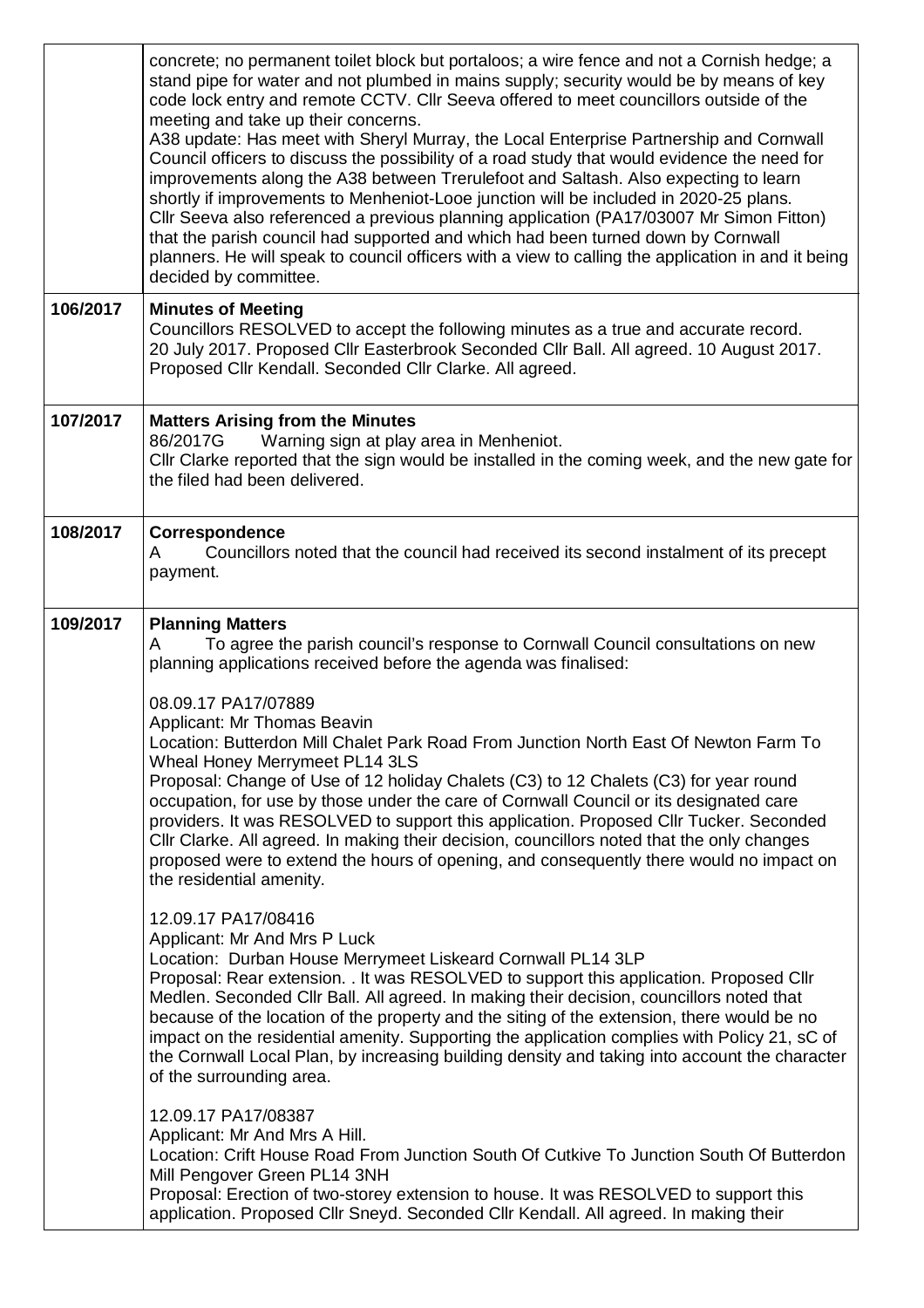|          | concrete; no permanent toilet block but portaloos; a wire fence and not a Cornish hedge; a<br>stand pipe for water and not plumbed in mains supply; security would be by means of key<br>code lock entry and remote CCTV. Cllr Seeva offered to meet councillors outside of the<br>meeting and take up their concerns.<br>A38 update: Has meet with Sheryl Murray, the Local Enterprise Partnership and Cornwall<br>Council officers to discuss the possibility of a road study that would evidence the need for<br>improvements along the A38 between Trerulefoot and Saltash. Also expecting to learn<br>shortly if improvements to Menheniot-Looe junction will be included in 2020-25 plans.<br>Cllr Seeva also referenced a previous planning application (PA17/03007 Mr Simon Fitton)<br>that the parish council had supported and which had been turned down by Cornwall<br>planners. He will speak to council officers with a view to calling the application in and it being<br>decided by committee.                                                                                                                                                                                                                                                                                                                                                                                                                                                                                                                                                                                                                                                                                                                                                                         |
|----------|----------------------------------------------------------------------------------------------------------------------------------------------------------------------------------------------------------------------------------------------------------------------------------------------------------------------------------------------------------------------------------------------------------------------------------------------------------------------------------------------------------------------------------------------------------------------------------------------------------------------------------------------------------------------------------------------------------------------------------------------------------------------------------------------------------------------------------------------------------------------------------------------------------------------------------------------------------------------------------------------------------------------------------------------------------------------------------------------------------------------------------------------------------------------------------------------------------------------------------------------------------------------------------------------------------------------------------------------------------------------------------------------------------------------------------------------------------------------------------------------------------------------------------------------------------------------------------------------------------------------------------------------------------------------------------------------------------------------------------------------------------------------------------------|
| 106/2017 | <b>Minutes of Meeting</b><br>Councillors RESOLVED to accept the following minutes as a true and accurate record.<br>20 July 2017. Proposed Cllr Easterbrook Seconded Cllr Ball. All agreed. 10 August 2017.<br>Proposed Cllr Kendall. Seconded Cllr Clarke. All agreed.                                                                                                                                                                                                                                                                                                                                                                                                                                                                                                                                                                                                                                                                                                                                                                                                                                                                                                                                                                                                                                                                                                                                                                                                                                                                                                                                                                                                                                                                                                                |
| 107/2017 | <b>Matters Arising from the Minutes</b><br>Warning sign at play area in Menheniot.<br>86/2017G<br>Cllr Clarke reported that the sign would be installed in the coming week, and the new gate for<br>the filed had been delivered.                                                                                                                                                                                                                                                                                                                                                                                                                                                                                                                                                                                                                                                                                                                                                                                                                                                                                                                                                                                                                                                                                                                                                                                                                                                                                                                                                                                                                                                                                                                                                      |
| 108/2017 | Correspondence<br>Councillors noted that the council had received its second instalment of its precept<br>A<br>payment.                                                                                                                                                                                                                                                                                                                                                                                                                                                                                                                                                                                                                                                                                                                                                                                                                                                                                                                                                                                                                                                                                                                                                                                                                                                                                                                                                                                                                                                                                                                                                                                                                                                                |
| 109/2017 | <b>Planning Matters</b><br>To agree the parish council's response to Cornwall Council consultations on new<br>A<br>planning applications received before the agenda was finalised:<br>08.09.17 PA17/07889<br>Applicant: Mr Thomas Beavin<br>Location: Butterdon Mill Chalet Park Road From Junction North East Of Newton Farm To<br>Wheal Honey Merrymeet PL14 3LS<br>Proposal: Change of Use of 12 holiday Chalets (C3) to 12 Chalets (C3) for year round<br>occupation, for use by those under the care of Cornwall Council or its designated care<br>providers. It was RESOLVED to support this application. Proposed Cllr Tucker. Seconded<br>Cllr Clarke. All agreed. In making their decision, councillors noted that the only changes<br>proposed were to extend the hours of opening, and consequently there would no impact on<br>the residential amenity.<br>12.09.17 PA17/08416<br>Applicant: Mr And Mrs P Luck<br>Location: Durban House Merrymeet Liskeard Cornwall PL14 3LP<br>Proposal: Rear extension. . It was RESOLVED to support this application. Proposed Cllr<br>Medlen. Seconded Cllr Ball. All agreed. In making their decision, councillors noted that<br>because of the location of the property and the siting of the extension, there would be no<br>impact on the residential amenity. Supporting the application complies with Policy 21, sC of<br>the Cornwall Local Plan, by increasing building density and taking into account the character<br>of the surrounding area.<br>12.09.17 PA17/08387<br>Applicant: Mr And Mrs A Hill.<br>Location: Crift House Road From Junction South Of Cutkive To Junction South Of Butterdon<br>Mill Pengover Green PL14 3NH<br>Proposal: Erection of two-storey extension to house. It was RESOLVED to support this |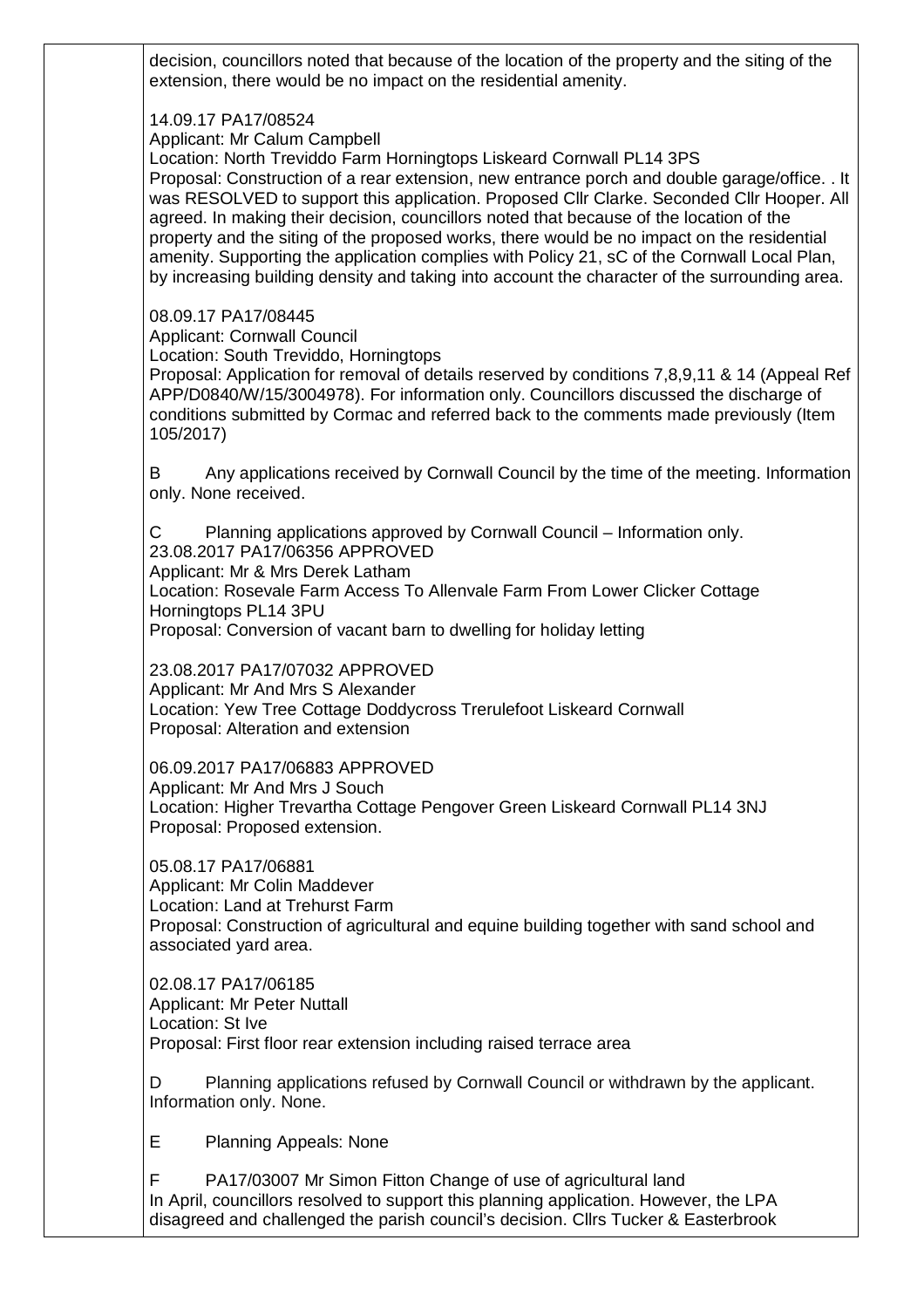decision, councillors noted that because of the location of the property and the siting of the extension, there would be no impact on the residential amenity.

## 14.09.17 PA17/08524

Applicant: Mr Calum Campbell

Location: North Treviddo Farm Horningtops Liskeard Cornwall PL14 3PS

Proposal: Construction of a rear extension, new entrance porch and double garage/office. . It was RESOLVED to support this application. Proposed Cllr Clarke. Seconded Cllr Hooper. All agreed. In making their decision, councillors noted that because of the location of the property and the siting of the proposed works, there would be no impact on the residential amenity. Supporting the application complies with Policy 21, sC of the Cornwall Local Plan, by increasing building density and taking into account the character of the surrounding area.

## 08.09.17 PA17/08445

Applicant: Cornwall Council

Location: South Treviddo, Horningtops

Proposal: Application for removal of details reserved by conditions 7,8,9,11 & 14 (Appeal Ref APP/D0840/W/15/3004978). For information only. Councillors discussed the discharge of conditions submitted by Cormac and referred back to the comments made previously (Item 105/2017)

B Any applications received by Cornwall Council by the time of the meeting. Information only. None received.

C Planning applications approved by Cornwall Council – Information only. 23.08.2017 PA17/06356 APPROVED Applicant: Mr & Mrs Derek Latham Location: Rosevale Farm Access To Allenvale Farm From Lower Clicker Cottage Horningtops PL14 3PU

Proposal: Conversion of vacant barn to dwelling for holiday letting

23.08.2017 PA17/07032 APPROVED

Applicant: Mr And Mrs S Alexander Location: Yew Tree Cottage Doddycross Trerulefoot Liskeard Cornwall Proposal: Alteration and extension

06.09.2017 PA17/06883 APPROVED Applicant: Mr And Mrs J Souch Location: Higher Trevartha Cottage Pengover Green Liskeard Cornwall PL14 3NJ Proposal: Proposed extension.

05.08.17 PA17/06881 Applicant: Mr Colin Maddever Location: Land at Trehurst Farm Proposal: Construction of agricultural and equine building together with sand school and associated yard area.

02.08.17 PA17/06185 Applicant: Mr Peter Nuttall Location: St Ive Proposal: First floor rear extension including raised terrace area

D Planning applications refused by Cornwall Council or withdrawn by the applicant. Information only. None.

E Planning Appeals: None

PA17/03007 Mr Simon Fitton Change of use of agricultural land In April, councillors resolved to support this planning application. However, the LPA disagreed and challenged the parish council's decision. Cllrs Tucker & Easterbrook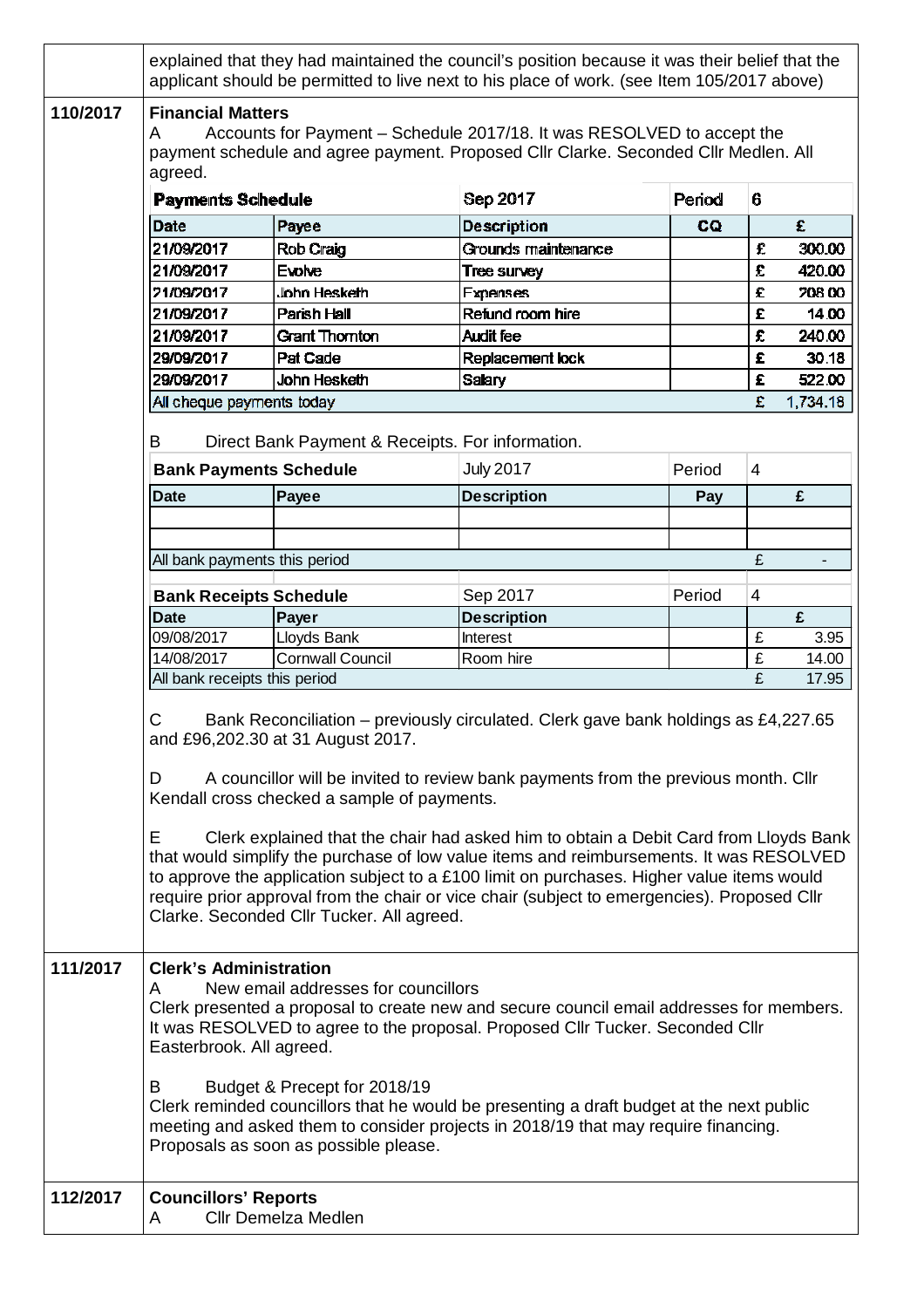|          | explained that they had maintained the council's position because it was their belief that the<br>applicant should be permitted to live next to his place of work. (see Item 105/2017 above)                                                                                                                                                                                                                                                                                                                                                                                                                                                                                                                                             |                                                  |                     |        |                |          |  |  |
|----------|------------------------------------------------------------------------------------------------------------------------------------------------------------------------------------------------------------------------------------------------------------------------------------------------------------------------------------------------------------------------------------------------------------------------------------------------------------------------------------------------------------------------------------------------------------------------------------------------------------------------------------------------------------------------------------------------------------------------------------------|--------------------------------------------------|---------------------|--------|----------------|----------|--|--|
| 110/2017 | <b>Financial Matters</b><br>Accounts for Payment – Schedule 2017/18. It was RESOLVED to accept the<br>A<br>payment schedule and agree payment. Proposed Cllr Clarke. Seconded Cllr Medlen. All<br>agreed.                                                                                                                                                                                                                                                                                                                                                                                                                                                                                                                                |                                                  |                     |        |                |          |  |  |
|          | <b>Payments Schedule</b>                                                                                                                                                                                                                                                                                                                                                                                                                                                                                                                                                                                                                                                                                                                 |                                                  | Sep 2017            | Period | 6              |          |  |  |
|          | Date                                                                                                                                                                                                                                                                                                                                                                                                                                                                                                                                                                                                                                                                                                                                     | Payee                                            | <b>Description</b>  | CQ     |                | £        |  |  |
|          | 21/09/2017                                                                                                                                                                                                                                                                                                                                                                                                                                                                                                                                                                                                                                                                                                                               | Rob Craig                                        | Grounds maintenance |        | £              | 300.00   |  |  |
|          | 21/09/2017                                                                                                                                                                                                                                                                                                                                                                                                                                                                                                                                                                                                                                                                                                                               | <b>Evolve</b>                                    | <b>Tree survey</b>  |        | £              | 420.00   |  |  |
|          | 21/09/2017                                                                                                                                                                                                                                                                                                                                                                                                                                                                                                                                                                                                                                                                                                                               | John Hesketh                                     | <b>Expenses</b>     |        | £              | 208.00   |  |  |
|          | 21/09/2017                                                                                                                                                                                                                                                                                                                                                                                                                                                                                                                                                                                                                                                                                                                               | Parish Hall                                      | Refund room hire    |        | £              | 14.00    |  |  |
|          | 21/09/2017                                                                                                                                                                                                                                                                                                                                                                                                                                                                                                                                                                                                                                                                                                                               | <b>Grant Thornton</b>                            | <b>Audit fee</b>    |        | £              | 240.00   |  |  |
|          | 29/09/2017                                                                                                                                                                                                                                                                                                                                                                                                                                                                                                                                                                                                                                                                                                                               | <b>Pat Cade</b>                                  | Replacement lock    |        | £              | 30.18    |  |  |
|          | 29/09/2017                                                                                                                                                                                                                                                                                                                                                                                                                                                                                                                                                                                                                                                                                                                               | John Hesketh                                     | Salary              |        | £              | 522.00   |  |  |
|          | All cheque payments today                                                                                                                                                                                                                                                                                                                                                                                                                                                                                                                                                                                                                                                                                                                |                                                  |                     |        | £              | 1,734.18 |  |  |
|          |                                                                                                                                                                                                                                                                                                                                                                                                                                                                                                                                                                                                                                                                                                                                          |                                                  |                     |        |                |          |  |  |
|          | B                                                                                                                                                                                                                                                                                                                                                                                                                                                                                                                                                                                                                                                                                                                                        | Direct Bank Payment & Receipts. For information. |                     |        |                |          |  |  |
|          | <b>Bank Payments Schedule</b>                                                                                                                                                                                                                                                                                                                                                                                                                                                                                                                                                                                                                                                                                                            |                                                  | <b>July 2017</b>    | Period | $\overline{4}$ |          |  |  |
|          | <b>Date</b>                                                                                                                                                                                                                                                                                                                                                                                                                                                                                                                                                                                                                                                                                                                              | Payee                                            | <b>Description</b>  | Pay    |                | £        |  |  |
|          |                                                                                                                                                                                                                                                                                                                                                                                                                                                                                                                                                                                                                                                                                                                                          |                                                  |                     |        |                |          |  |  |
|          |                                                                                                                                                                                                                                                                                                                                                                                                                                                                                                                                                                                                                                                                                                                                          |                                                  |                     |        |                |          |  |  |
|          | All bank payments this period                                                                                                                                                                                                                                                                                                                                                                                                                                                                                                                                                                                                                                                                                                            |                                                  |                     |        | £              |          |  |  |
|          | <b>Bank Receipts Schedule</b>                                                                                                                                                                                                                                                                                                                                                                                                                                                                                                                                                                                                                                                                                                            |                                                  | Sep 2017            | Period | $\overline{4}$ |          |  |  |
|          | <b>Date</b>                                                                                                                                                                                                                                                                                                                                                                                                                                                                                                                                                                                                                                                                                                                              | Payer                                            | <b>Description</b>  |        |                | £        |  |  |
|          | 09/08/2017                                                                                                                                                                                                                                                                                                                                                                                                                                                                                                                                                                                                                                                                                                                               | Lloyds Bank                                      | <b>Interest</b>     |        | £              | 3.95     |  |  |
|          | 14/08/2017                                                                                                                                                                                                                                                                                                                                                                                                                                                                                                                                                                                                                                                                                                                               | <b>Cornwall Council</b>                          | Room hire           |        | £              | 14.00    |  |  |
|          | All bank receipts this period                                                                                                                                                                                                                                                                                                                                                                                                                                                                                                                                                                                                                                                                                                            |                                                  |                     |        | £              | 17.95    |  |  |
| 111/2017 | C<br>Bank Reconciliation – previously circulated. Clerk gave bank holdings as £4,227.65<br>and £96,202.30 at 31 August 2017.<br>A councillor will be invited to review bank payments from the previous month. Cllr<br>D<br>Kendall cross checked a sample of payments.<br>Е<br>Clerk explained that the chair had asked him to obtain a Debit Card from Lloyds Bank<br>that would simplify the purchase of low value items and reimbursements. It was RESOLVED<br>to approve the application subject to a £100 limit on purchases. Higher value items would<br>require prior approval from the chair or vice chair (subject to emergencies). Proposed Cllr<br>Clarke. Seconded Cllr Tucker. All agreed.<br><b>Clerk's Administration</b> |                                                  |                     |        |                |          |  |  |
|          | New email addresses for councillors<br>A<br>Clerk presented a proposal to create new and secure council email addresses for members.<br>It was RESOLVED to agree to the proposal. Proposed Cllr Tucker. Seconded Cllr<br>Easterbrook. All agreed.<br>Budget & Precept for 2018/19<br>B<br>Clerk reminded councillors that he would be presenting a draft budget at the next public<br>meeting and asked them to consider projects in 2018/19 that may require financing.<br>Proposals as soon as possible please.                                                                                                                                                                                                                        |                                                  |                     |        |                |          |  |  |
| 112/2017 | <b>Councillors' Reports</b><br>A                                                                                                                                                                                                                                                                                                                                                                                                                                                                                                                                                                                                                                                                                                         | <b>Cllr Demelza Medlen</b>                       |                     |        |                |          |  |  |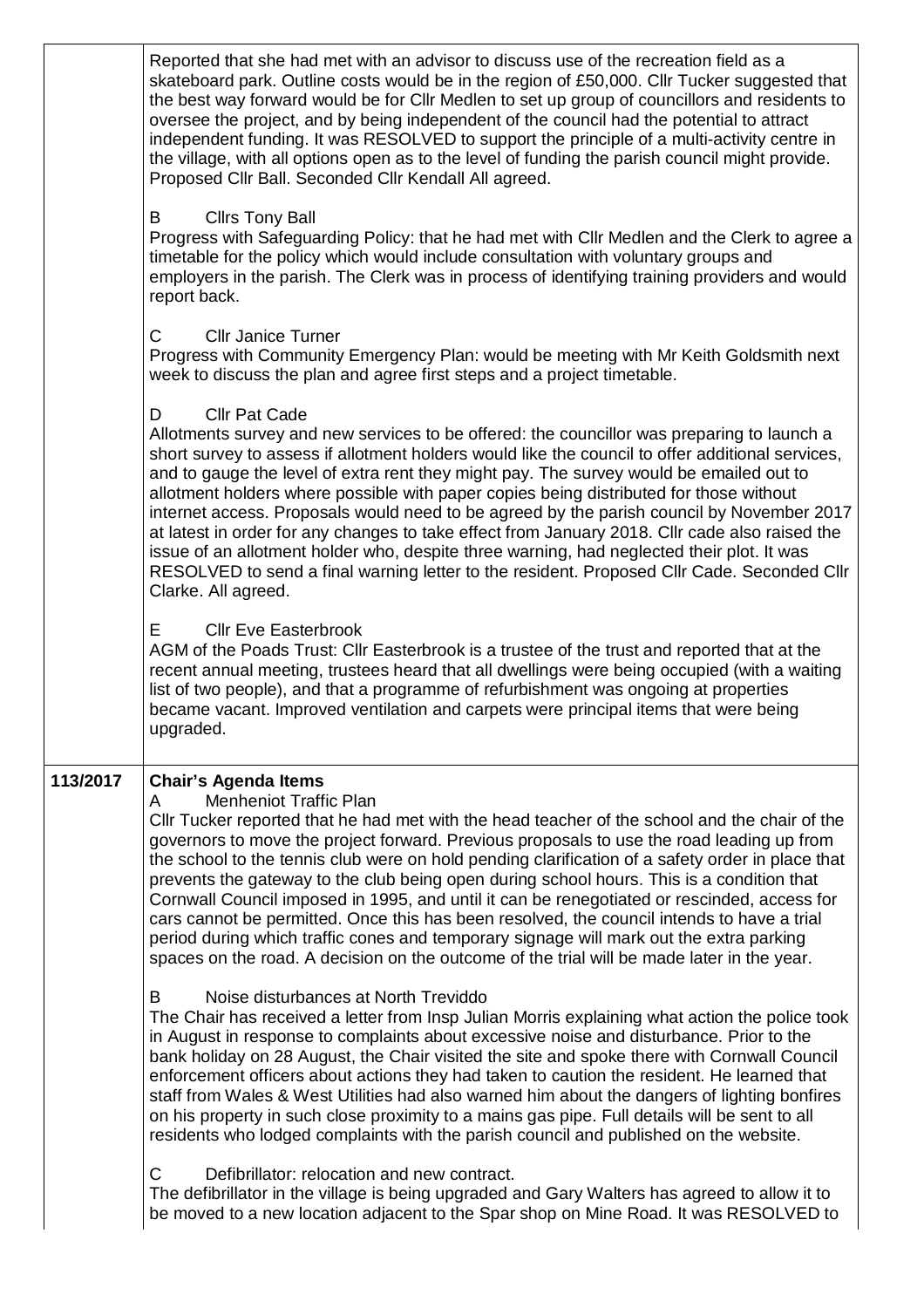|          | Reported that she had met with an advisor to discuss use of the recreation field as a<br>skateboard park. Outline costs would be in the region of £50,000. Cllr Tucker suggested that<br>the best way forward would be for Cllr Medlen to set up group of councillors and residents to<br>oversee the project, and by being independent of the council had the potential to attract<br>independent funding. It was RESOLVED to support the principle of a multi-activity centre in<br>the village, with all options open as to the level of funding the parish council might provide.<br>Proposed Cllr Ball. Seconded Cllr Kendall All agreed.                                                                                                                                                                                                         |
|----------|--------------------------------------------------------------------------------------------------------------------------------------------------------------------------------------------------------------------------------------------------------------------------------------------------------------------------------------------------------------------------------------------------------------------------------------------------------------------------------------------------------------------------------------------------------------------------------------------------------------------------------------------------------------------------------------------------------------------------------------------------------------------------------------------------------------------------------------------------------|
|          | <b>Cllrs Tony Ball</b><br>В<br>Progress with Safeguarding Policy: that he had met with Cllr Medlen and the Clerk to agree a<br>timetable for the policy which would include consultation with voluntary groups and<br>employers in the parish. The Clerk was in process of identifying training providers and would<br>report back.                                                                                                                                                                                                                                                                                                                                                                                                                                                                                                                    |
|          | C.<br><b>Cllr Janice Turner</b><br>Progress with Community Emergency Plan: would be meeting with Mr Keith Goldsmith next<br>week to discuss the plan and agree first steps and a project timetable.                                                                                                                                                                                                                                                                                                                                                                                                                                                                                                                                                                                                                                                    |
|          | <b>Cllr Pat Cade</b><br>D<br>Allotments survey and new services to be offered: the councillor was preparing to launch a<br>short survey to assess if allotment holders would like the council to offer additional services,<br>and to gauge the level of extra rent they might pay. The survey would be emailed out to<br>allotment holders where possible with paper copies being distributed for those without<br>internet access. Proposals would need to be agreed by the parish council by November 2017<br>at latest in order for any changes to take effect from January 2018. Cllr cade also raised the<br>issue of an allotment holder who, despite three warning, had neglected their plot. It was<br>RESOLVED to send a final warning letter to the resident. Proposed Cllr Cade. Seconded Cllr<br>Clarke. All agreed.                      |
|          | <b>Cllr Eve Easterbrook</b><br>E.<br>AGM of the Poads Trust: Cllr Easterbrook is a trustee of the trust and reported that at the<br>recent annual meeting, trustees heard that all dwellings were being occupied (with a waiting<br>list of two people), and that a programme of refurbishment was ongoing at properties<br>became vacant. Improved ventilation and carpets were principal items that were being<br>upgraded.                                                                                                                                                                                                                                                                                                                                                                                                                          |
| 113/2017 | <b>Chair's Agenda Items</b><br><b>Menheniot Traffic Plan</b><br>A<br>CIIr Tucker reported that he had met with the head teacher of the school and the chair of the<br>governors to move the project forward. Previous proposals to use the road leading up from<br>the school to the tennis club were on hold pending clarification of a safety order in place that<br>prevents the gateway to the club being open during school hours. This is a condition that<br>Cornwall Council imposed in 1995, and until it can be renegotiated or rescinded, access for<br>cars cannot be permitted. Once this has been resolved, the council intends to have a trial<br>period during which traffic cones and temporary signage will mark out the extra parking<br>spaces on the road. A decision on the outcome of the trial will be made later in the year. |
|          | B<br>Noise disturbances at North Treviddo<br>The Chair has received a letter from Insp Julian Morris explaining what action the police took<br>in August in response to complaints about excessive noise and disturbance. Prior to the<br>bank holiday on 28 August, the Chair visited the site and spoke there with Cornwall Council<br>enforcement officers about actions they had taken to caution the resident. He learned that<br>staff from Wales & West Utilities had also warned him about the dangers of lighting bonfires<br>on his property in such close proximity to a mains gas pipe. Full details will be sent to all<br>residents who lodged complaints with the parish council and published on the website.                                                                                                                          |
|          | C.<br>Defibrillator: relocation and new contract.<br>The defibrillator in the village is being upgraded and Gary Walters has agreed to allow it to<br>be moved to a new location adjacent to the Spar shop on Mine Road. It was RESOLVED to                                                                                                                                                                                                                                                                                                                                                                                                                                                                                                                                                                                                            |